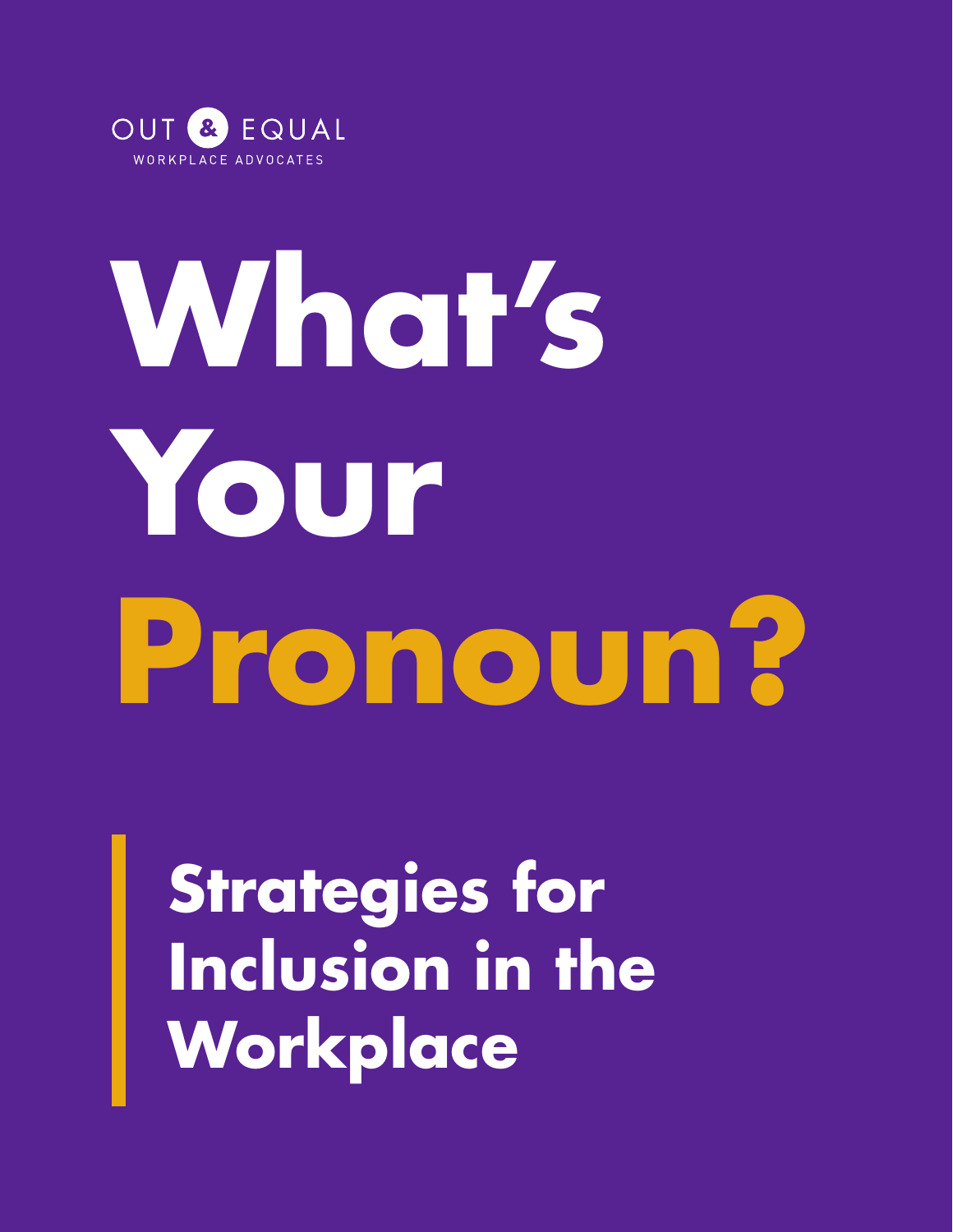

# **What's Your Pronoun?**

**Strategies for**  Inclusion in the **Workplace**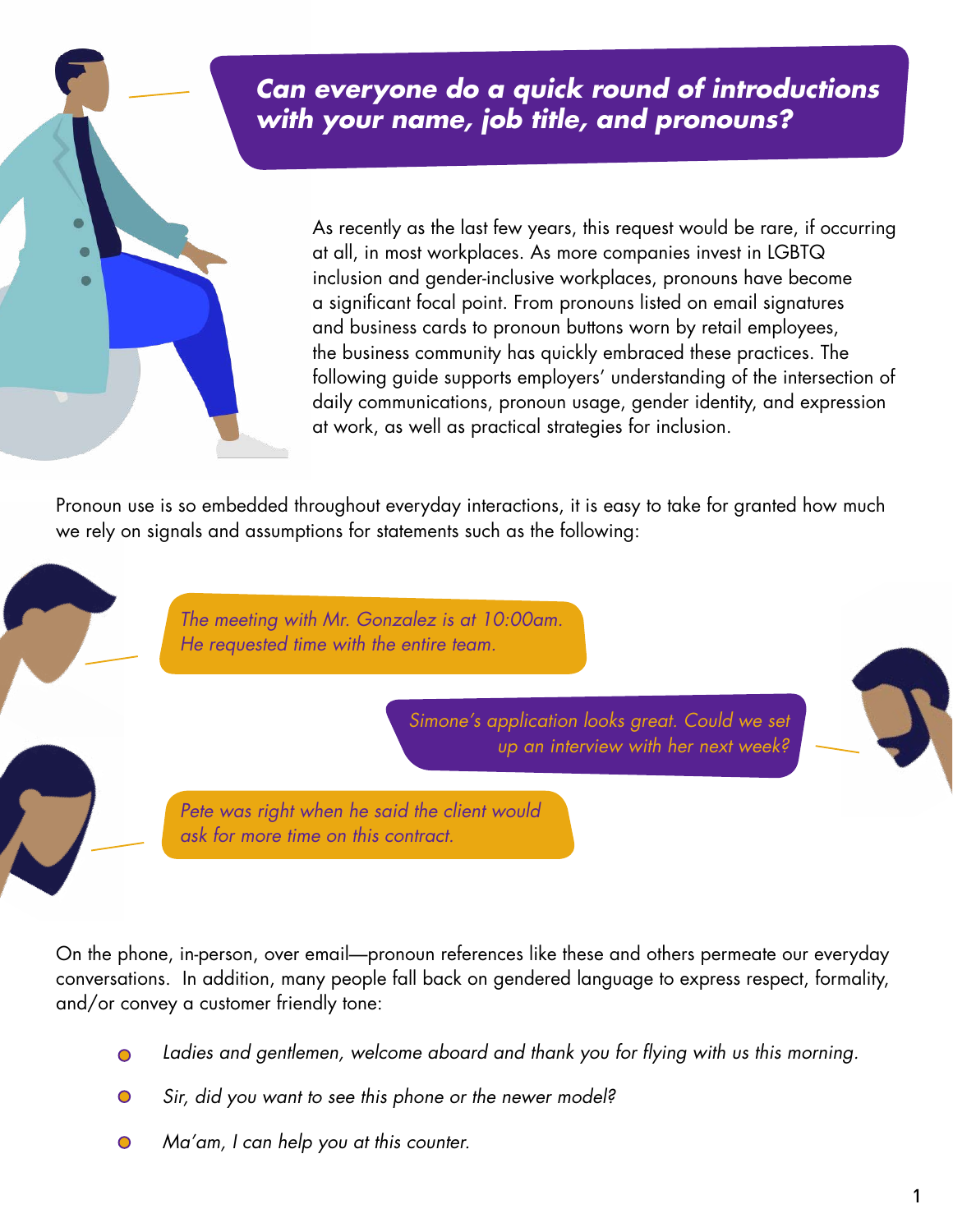# *Can everyone do a quick round of introductions with your name, job title, and pronouns?*

As recently as the last few years, this request would be rare, if occurring at all, in most workplaces. As more companies invest in LGBTQ inclusion and gender-inclusive workplaces, pronouns have become a significant focal point. From pronouns listed on email signatures and business cards to pronoun buttons worn by retail employees, the business community has quickly embraced these practices. The following guide supports employers' understanding of the intersection of daily communications, pronoun usage, gender identity, and expression at work, as well as practical strategies for inclusion.

Pronoun use is so embedded throughout everyday interactions, it is easy to take for granted how much we rely on signals and assumptions for statements such as the following:

> *The meeting with Mr. Gonzalez is at 10:00am. He requested time with the entire team.*

> > *Simone's application looks great. Could we set up an interview with her next week?*



*Pete was right when he said the client would ask for more time on this contract.*

On the phone, in-person, over email—pronoun references like these and others permeate our everyday conversations. In addition, many people fall back on gendered language to express respect, formality, and/or convey a customer friendly tone:

- *Ladies and gentlemen, welcome aboard and thank you for flying with us this morning.*
- *Sir, did you want to see this phone or the newer model?*
- *Ma'am, I can help you at this counter.*  $\bullet$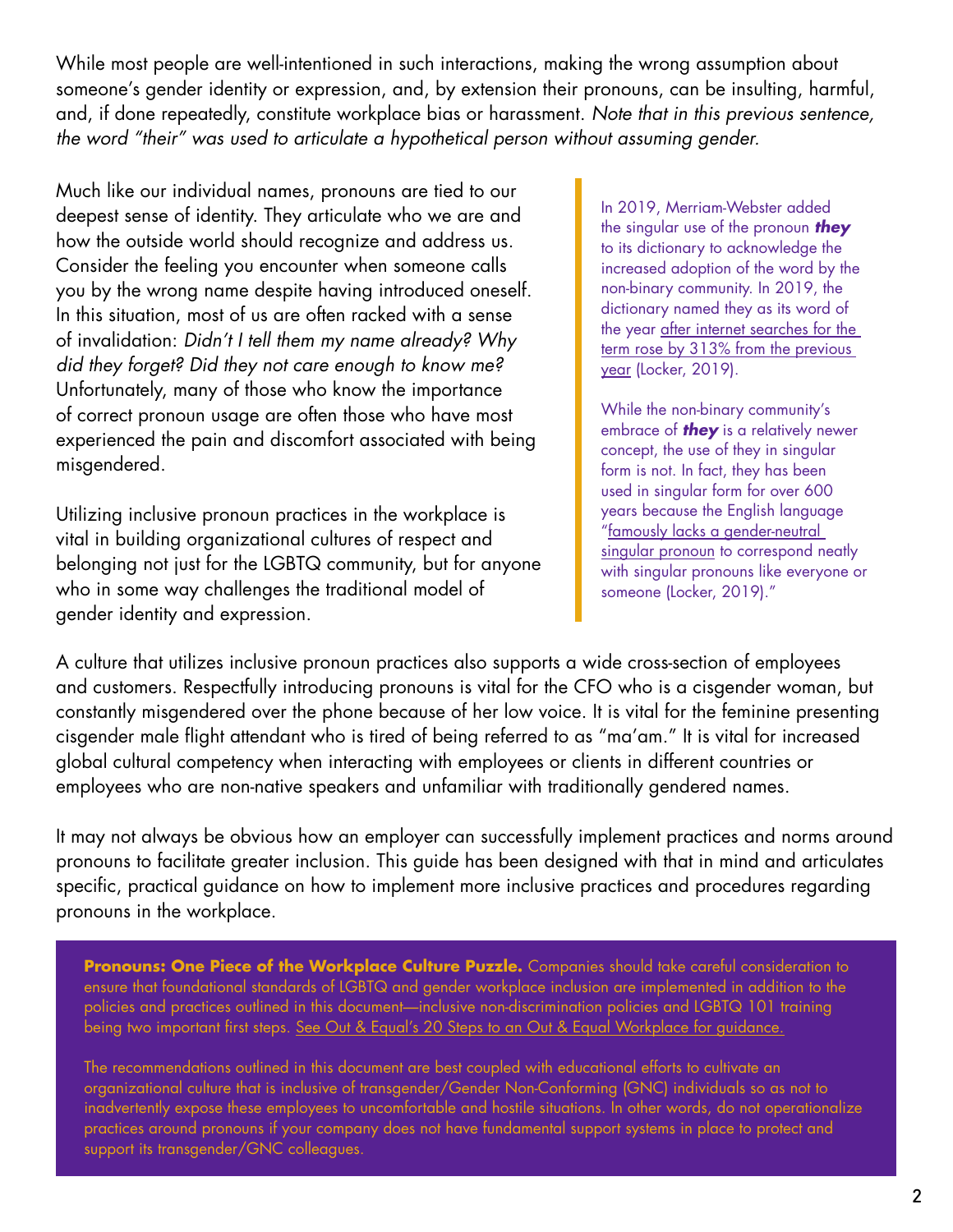While most people are well-intentioned in such interactions, making the wrong assumption about someone's gender identity or expression, and, by extension their pronouns, can be insulting, harmful, and, if done repeatedly, constitute workplace bias or harassment. *Note that in this previous sentence, the word "their" was used to articulate a hypothetical person without assuming gender.* 

Much like our individual names, pronouns are tied to our deepest sense of identity. They articulate who we are and how the outside world should recognize and address us. Consider the feeling you encounter when someone calls you by the wrong name despite having introduced oneself. In this situation, most of us are often racked with a sense of invalidation: *Didn't I tell them my name already? Why did they forget? Did they not care enough to know me?*  Unfortunately, many of those who know the importance of correct pronoun usage are often those who have most experienced the pain and discomfort associated with being misgendered.

Utilizing inclusive pronoun practices in the workplace is vital in building organizational cultures of respect and belonging not just for the LGBTQ community, but for anyone who in some way challenges the traditional model of gender identity and expression.

In 2019, Merriam-Webster added the singular use of the pronoun *they*  to its dictionary to acknowledge the increased adoption of the word by the non-binary community. In 2019, the dictionary named they as its word of the year [after internet searches for the](https://time.com/5746516/merriam-webster-word-of-the-year-2019/)  term rose by 313% from the previous year (Locker, 2019).

While the non-binary community's embrace of *they* is a relatively newer concept, the use of they in singular form is not. In fact, they has been used in singular form for over 600 years because the English language ["famously lacks a gender-neutral](https://time.com/5746516/merriam-webster-word-of-the-year-2019/)  [singular pronoun t](https://time.com/5746516/merriam-webster-word-of-the-year-2019/)o correspond neatly with singular pronouns like everyone or someone (Locker, 2019)."

A culture that utilizes inclusive pronoun practices also supports a wide cross-section of employees and customers. Respectfully introducing pronouns is vital for the CFO who is a cisgender woman, but constantly misgendered over the phone because of her low voice. It is vital for the feminine presenting cisgender male flight attendant who is tired of being referred to as "ma'am." It is vital for increased global cultural competency when interacting with employees or clients in different countries or employees who are non-native speakers and unfamiliar with traditionally gendered names.

It may not always be obvious how an employer can successfully implement practices and norms around pronouns to facilitate greater inclusion. This guide has been designed with that in mind and articulates specific, practical guidance on how to implement more inclusive practices and procedures regarding pronouns in the workplace.

Pronouns: One Piece of the Workplace Culture Puzzle. Companies should take careful consideration to ensure that foundational standards of LGBTQ and gender workplace inclusion are implemented in addition to the policies and practices outlined in this document—inclusive non-discrimination policies and LGBTQ 101 training being two important first steps[. See Out & Equal's 20 Steps to an Out & Equal Workplace for guidance.](https://outandequal.org/20-steps/)

The recommendations outlined in this document are best coupled with educational efforts to cultivate an organizational culture that is inclusive of transgender/Gender Non-Conforming (GNC) individuals so as not to inadvertently expose these employees to uncomfortable and hostile situations. In other words, do not operationalize practices around pronouns if your company does not have fundamental support systems in place to protect and support its transgender/GNC colleagues.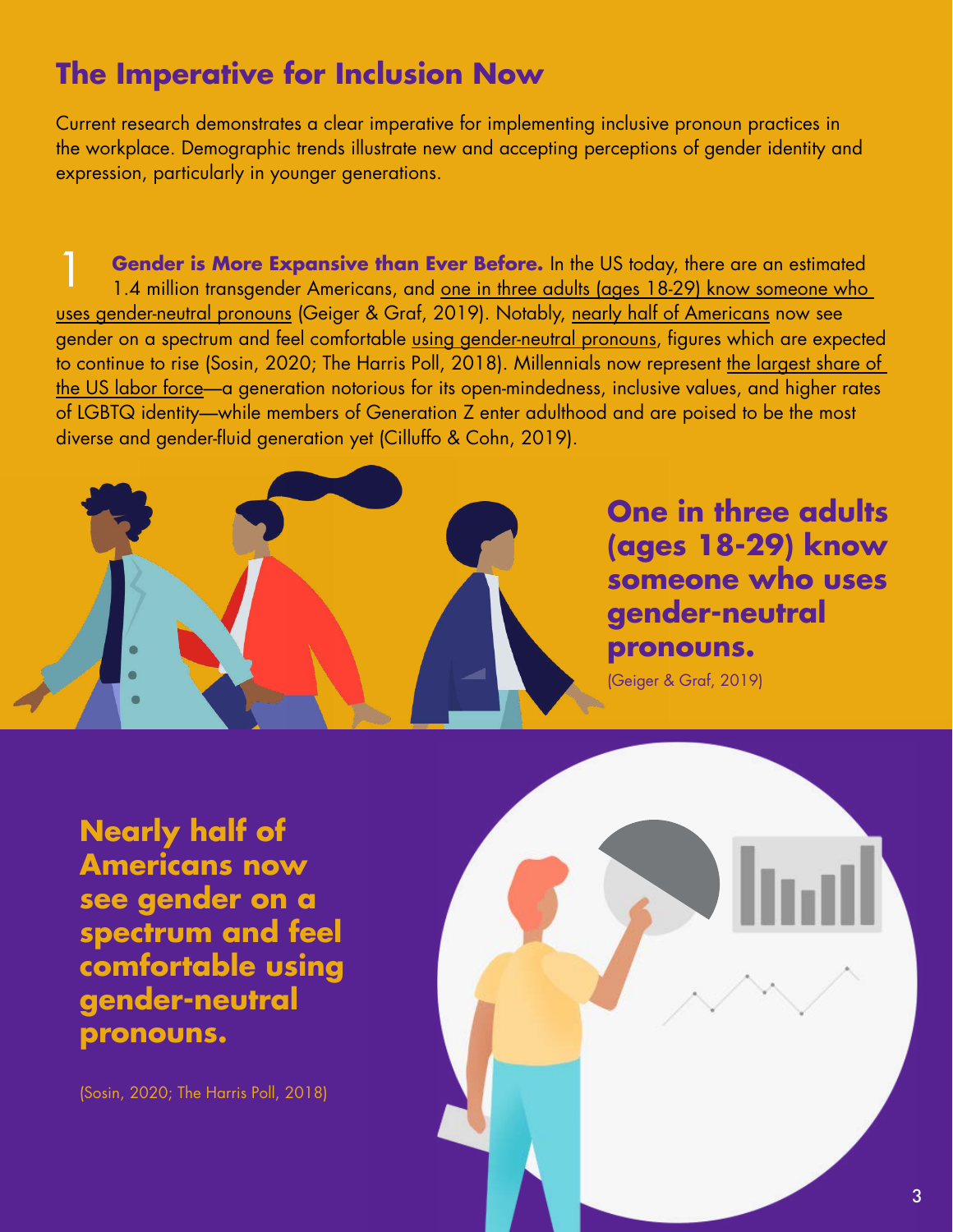# **The Imperative for Inclusion Now**

Current research demonstrates a clear imperative for implementing inclusive pronoun practices in the workplace. Demographic trends illustrate new and accepting perceptions of gender identity and expression, particularly in younger generations.

**Gender is More Expansive than Ever Before.** In the US today, there are an estimated 1.4 million transgender Americans, and one in three adults (ages 18-29) know someone who [uses gender-neutral pronouns \(G](https://www.pewresearch.org/fact-tank/2019/09/05/gender-neutral-pronouns/)eiger & Graf, 2019). Notably, [nearly half of Americans n](http://www.newnownext.com/half-of-americans-see-gender-on-spectrum/01/2020/)ow see gender on a spectrum and feel comfortable [using gender-neutral pronouns,](https://theharrispoll.com/americans-insist-that-businesses-should-be-open-to-all-and-the-government-needs-to-do-more-to-protect-lgbtq-rights/) figures which are expected to continue to rise (Sosin, 2020; The Harris Poll, 2018). Millennials now represent [the largest share of](https://www.pewresearch.org/fact-tank/2019/04/11/6-demographic-trends-shaping-the-u-s-and-the-world-in-2019/)  [the US labor force—](https://www.pewresearch.org/fact-tank/2019/04/11/6-demographic-trends-shaping-the-u-s-and-the-world-in-2019/)a generation notorious for its open-mindedness, inclusive values, and higher rates of LGBTQ identity—while members of Generation Z enter adulthood and are poised to be the most diverse and gender-fluid generation yet (Cilluffo & Cohn, 2019).



**One in three adults (ages 18-29) know someone who uses gender-neutral pronouns.**

(Geiger & Graf, 2019)

**Nearly half of Americans now see gender on a spectrum and feel comfortable using gender-neutral pronouns.**

(Sosin, 2020; The Harris Poll, 2018)

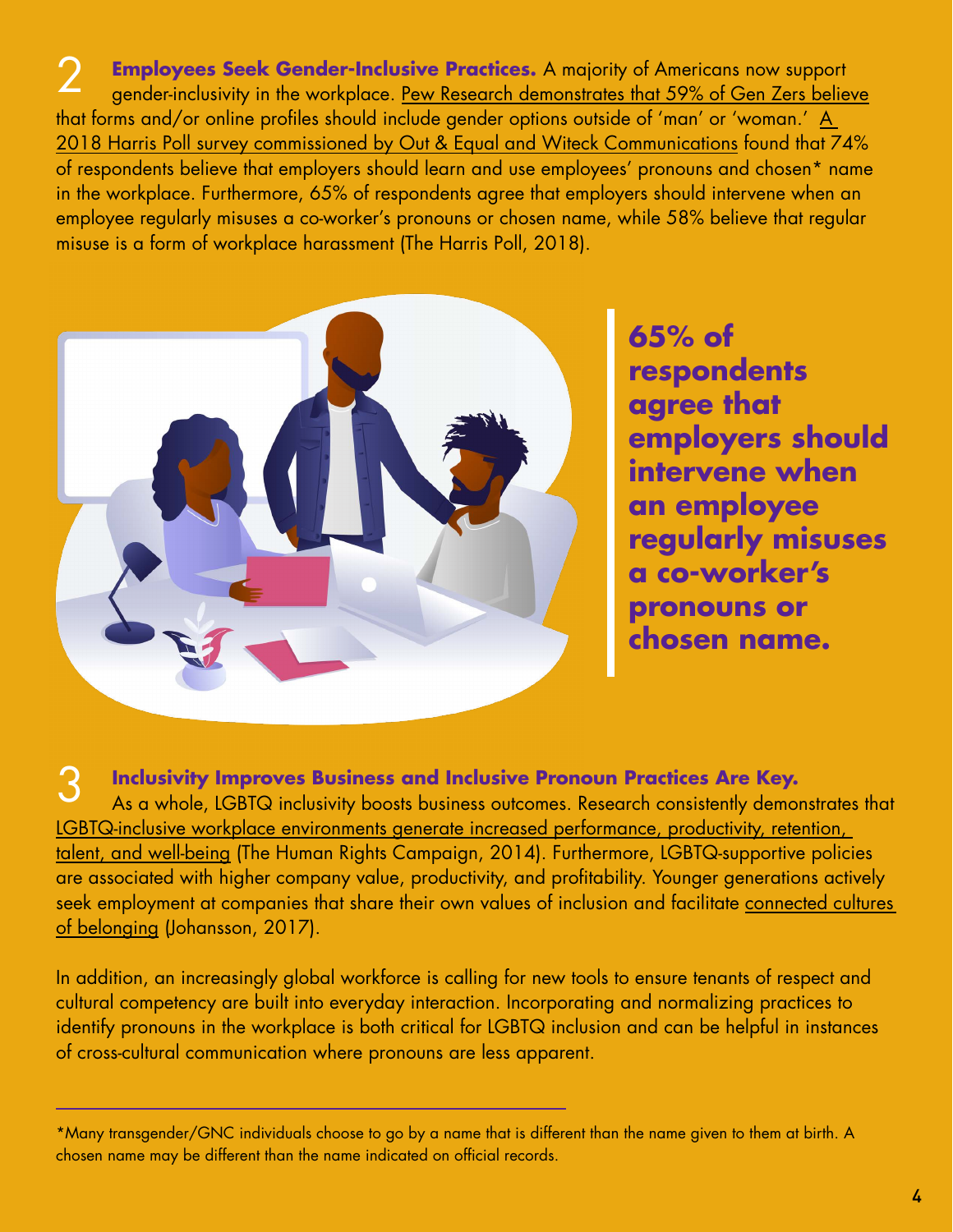**2** Employees Seek Gender-Inclusive Practices. A majority of Americans now support gender-inclusivity in the workplace. <u>Pew Research demonstrates that 59% of Gen Zers believe</u> that forms and/or online profiles should include gender options outside of 'man' or 'woman.' A [2018 Harris Poll survey commissioned by Out & Equal and Witeck Communications fo](https://theharrispoll.com/americans-insist-that-businesses-should-be-open-to-all-and-the-government-needs-to-do-more-to-protect-lgbtq-rights/)und that 74% of respondents believe that employers should learn and use employees' pronouns and chosen\* name in the workplace. Furthermore, 65% of respondents agree that employers should intervene when an employee regularly misuses a co-worker's pronouns or chosen name, while 58% believe that regular misuse is a form of workplace harassment (The Harris Poll, 2018).



**65% of respondents agree that employers should intervene when an employee regularly misuses a co-worker's pronouns or chosen name.**

3 **Inclusivity Improves Business and Inclusive Pronoun Practices Are Key.**  As a whole, LGBTQ inclusivity boosts business outcomes. Research consistently demonstrates that [LGBTQ-inclusive workplace environments generate increased performance, productivity, retention,](https://assets2.hrc.org/files/assets/resources/Cost_of_the_Closet_May2014.pdf)  [talent, and well-being](https://assets2.hrc.org/files/assets/resources/Cost_of_the_Closet_May2014.pdf) (The Human Rights Campaign, 2014). Furthermore, LGBTQ-supportive policies are associated with higher company value, productivity, and profitability. Younger generations actively seek employment at companies that share their own values of inclusion and facilitate [connected cultures](https://www.forbes.com/sites/annajohansson/2017/11/13/the-one-philosophical-difference-that-sets-millennials-apart-in-workplace-diversity/%236720471370c7)  [of belonging](https://www.forbes.com/sites/annajohansson/2017/11/13/the-one-philosophical-difference-that-sets-millennials-apart-in-workplace-diversity/%236720471370c7) (Johansson, 2017).

In addition, an increasingly global workforce is calling for new tools to ensure tenants of respect and cultural competency are built into everyday interaction. Incorporating and normalizing practices to identify pronouns in the workplace is both critical for LGBTQ inclusion and can be helpful in instances of cross-cultural communication where pronouns are less apparent.

<sup>\*</sup>Many transgender/GNC individuals choose to go by a name that is different than the name given to them at birth. A chosen name may be different than the name indicated on official records.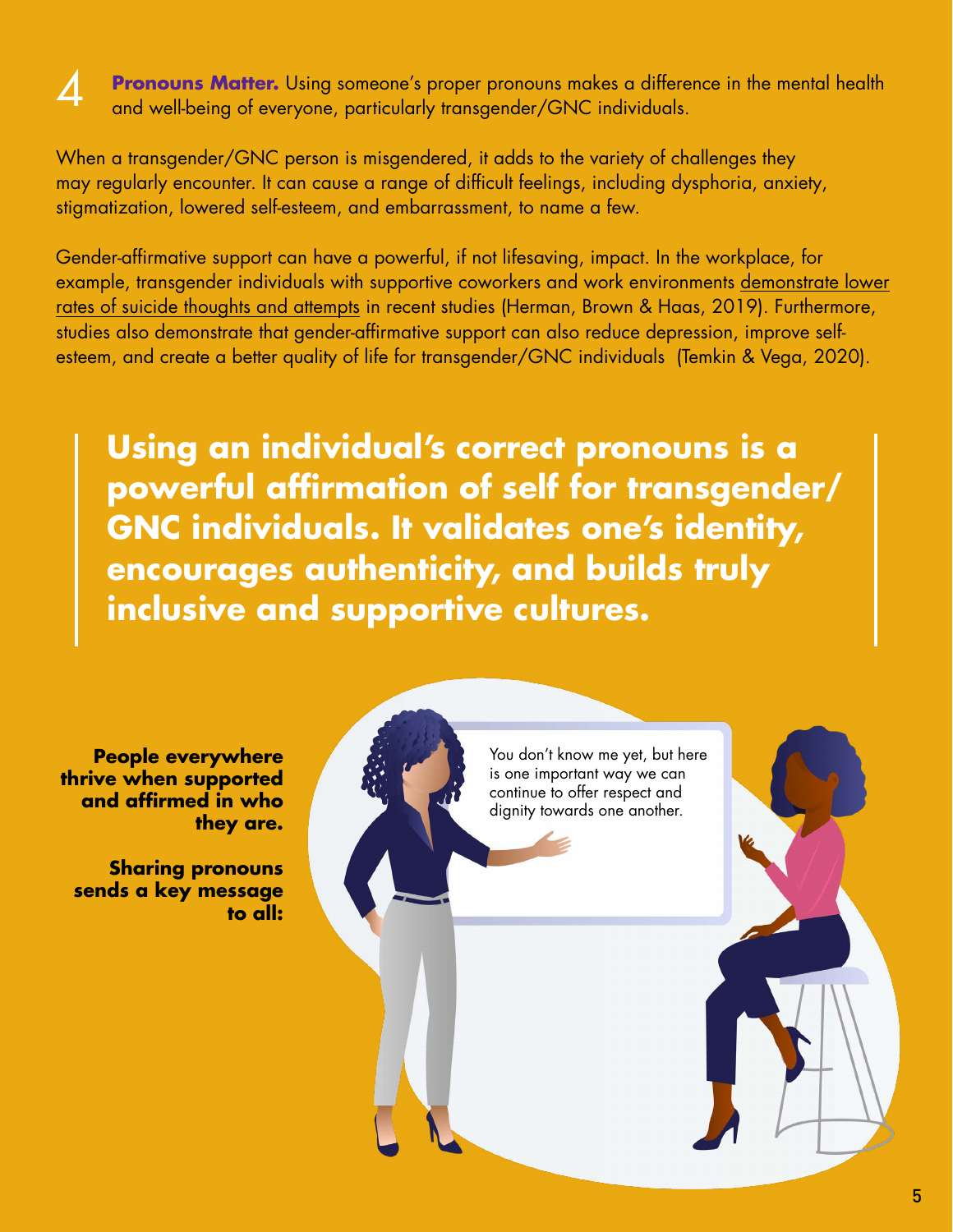

**Pronouns Matter.** Using someone's proper pronouns makes a difference in the mental health and well-being of everyone, particularly transgender/GNC individuals.

When a transgender/GNC person is misgendered, it adds to the variety of challenges they may regularly encounter. It can cause a range of difficult feelings, including dysphoria, anxiety, stigmatization, lowered self-esteem, and embarrassment, to name a few.

Gender-affirmative support can have a powerful, if not lifesaving, impact. In the workplace, for example, transgender individuals with supportive coworkers and work environments [demonstrate lower](https://williamsinstitute.law.ucla.edu/publications/suicidality-transgender-adults/)  [rates of suicide thoughts and attempts](https://williamsinstitute.law.ucla.edu/publications/suicidality-transgender-adults/) in recent studies (Herman, Brown & Haas, 2019). Furthermore, studies also demonstrate that gender-affirmative support can also reduce depression, improve selfesteem, and create a better quality of life for transgender/GNC individuals (Temkin & Vega, 2020).

**Using an individual's correct pronouns is a powerful affirmation of self for transgender/ GNC individuals. It validates one's identity, encourages authenticity, and builds truly inclusive and supportive cultures.** 



**People everywhere thrive when supported and affirmed in who they are.**

**Sharing pronouns sends a key message**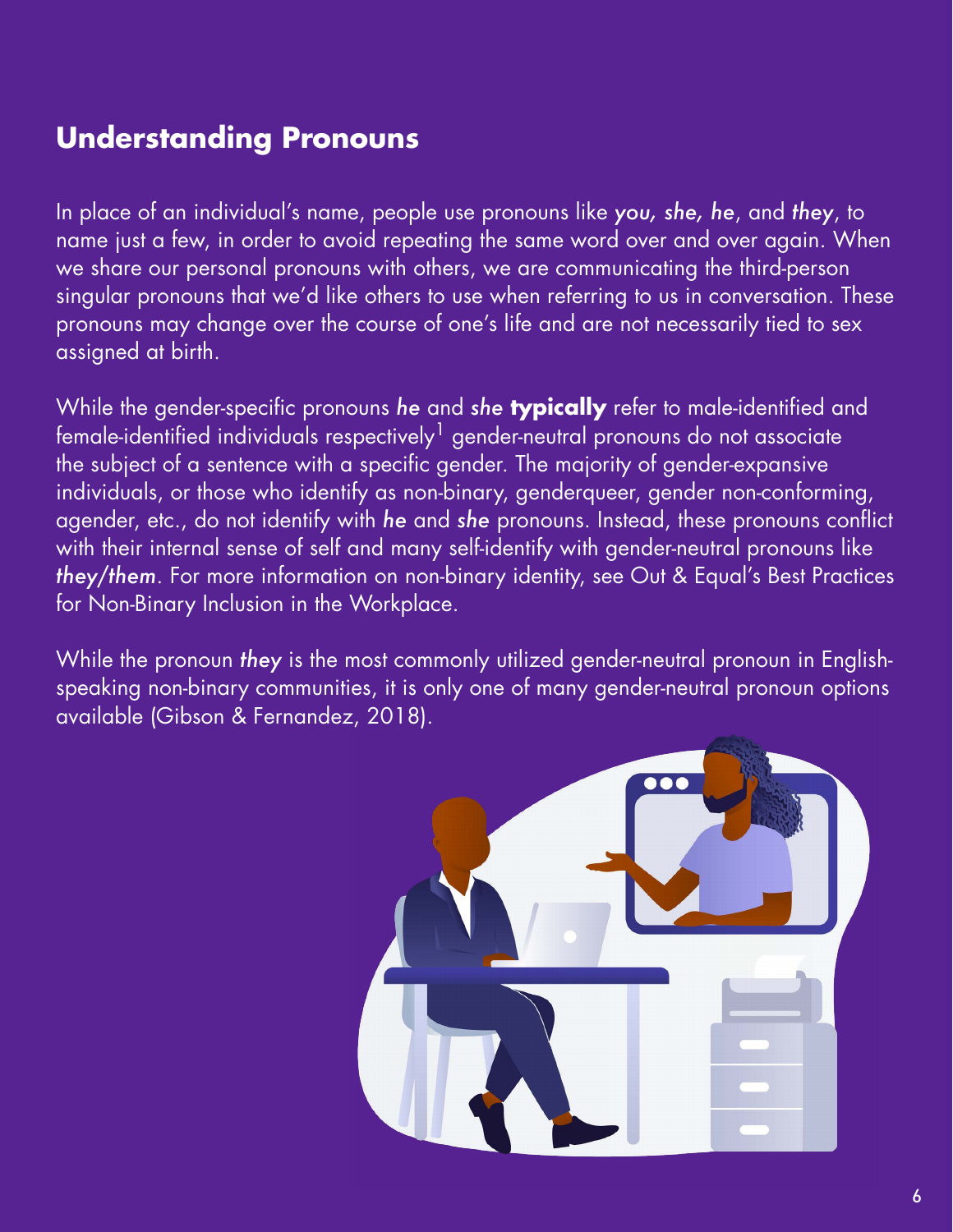# **Understanding Pronouns**

In place of an individual's name, people use pronouns like *you, she, he*, and *they*, to name just a few, in order to avoid repeating the same word over and over again. When we share our personal pronouns with others, we are communicating the third-person singular pronouns that we'd like others to use when referring to us in conversation. These pronouns may change over the course of one's life and are not necessarily tied to sex assigned at birth.

While the gender-specific pronouns *he* and *she* **typically** refer to male-identified and  $f$ emale-identified individuals respectively<sup>1</sup> gender-neutral pronouns do not associate the subject of a sentence with a specific gender. The majority of gender-expansive individuals, or those who identify as non-binary, genderqueer, gender non-conforming, agender, etc., do not identify with *he* and *she* pronouns. Instead, these pronouns conflict with their internal sense of self and many self-identify with gender-neutral pronouns like *they/them*. For more information on non-binary identity, see Out & Equal's Best Practices for Non-Binary Inclusion in the Workplace.

While the pronoun *they* is the most commonly utilized gender-neutral pronoun in Englishspeaking non-binary communities, it is only one of many gender-neutral pronoun options available (Gibson & Fernandez, 2018).

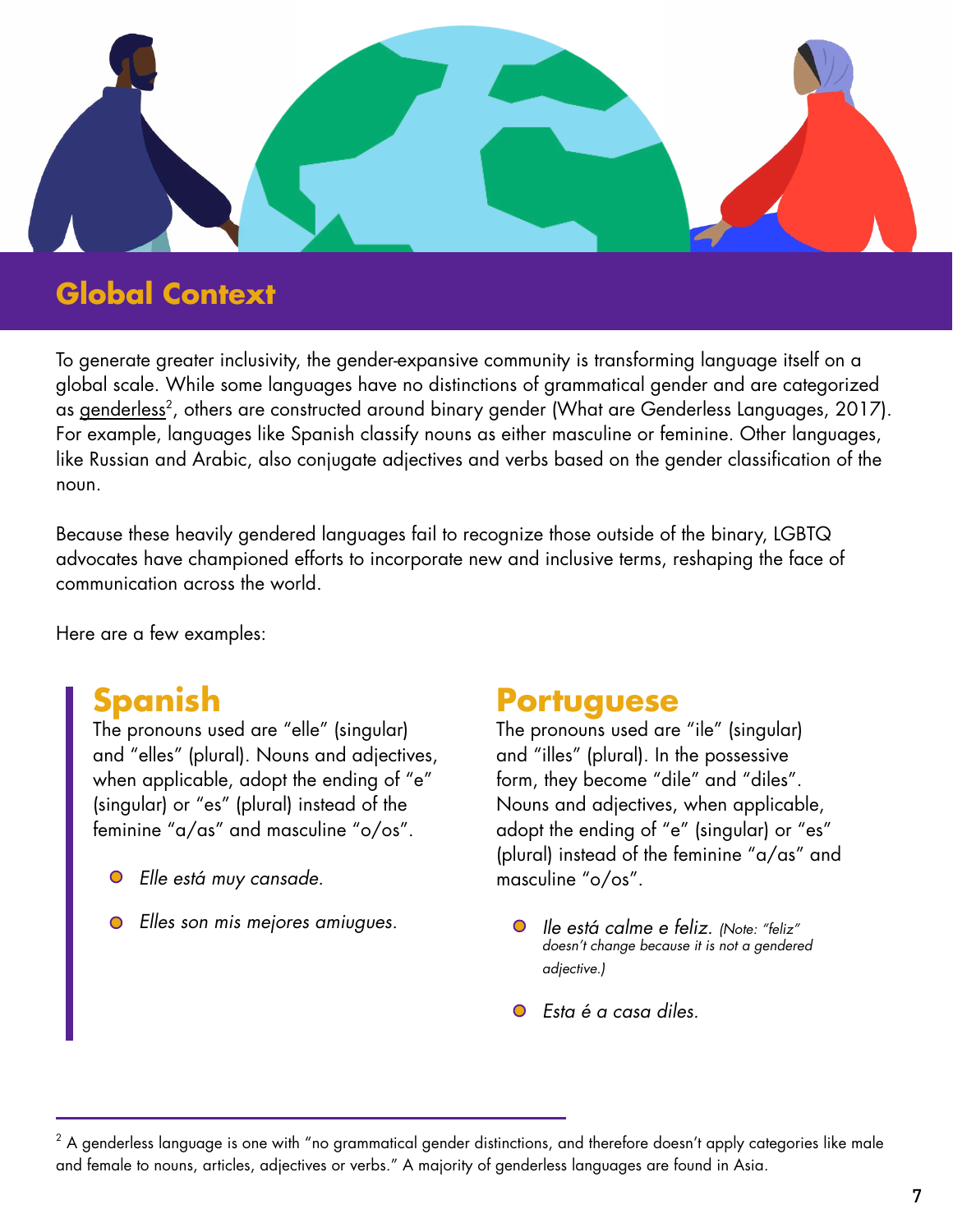

# **Global Context**

To generate greater inclusivity, the gender-expansive community is transforming language itself on a global scale. While some languages have no distinctions of grammatical gender and are categorized as <u>genderless</u><sup>2</sup>, others are constructed around binary gender (What are Genderless Languages, 2017). For example, languages like Spanish classify nouns as either masculine or feminine. Other languages, like Russian and Arabic, also conjugate adjectives and verbs based on the gender classification of the noun.

Because these heavily gendered languages fail to recognize those outside of the binary, LGBTQ advocates have championed efforts to incorporate new and inclusive terms, reshaping the face of communication across the world.

Here are a few examples:

# **Spanish**

The pronouns used are "elle" (singular) and "elles" (plural). Nouns and adjectives, when applicable, adopt the ending of "e" (singular) or "es" (plural) instead of the feminine "a/as" and masculine "o/os".

- *Elle está muy cansade.* masculine "o/os".
- *Elles son mis mejores amiugues. Ile está calme e feliz. (Note: "feliz"*

# **Portuguese**

The pronouns used are "ile" (singular) and "illes" (plural). In the possessive form, they become "dile" and "diles". Nouns and adjectives, when applicable, adopt the ending of "e" (singular) or "es" (plural) instead of the feminine "a/as" and

- *doesn't change because it is not a gendered adjective.)*
- *Esta é a casa diles.*

 $^{\rm 2}$  A genderless language is one with "no grammatical gender distinctions, and therefore doesn't apply categories like male and female to nouns, articles, adjectives or verbs." A majority of genderless languages are found in Asia.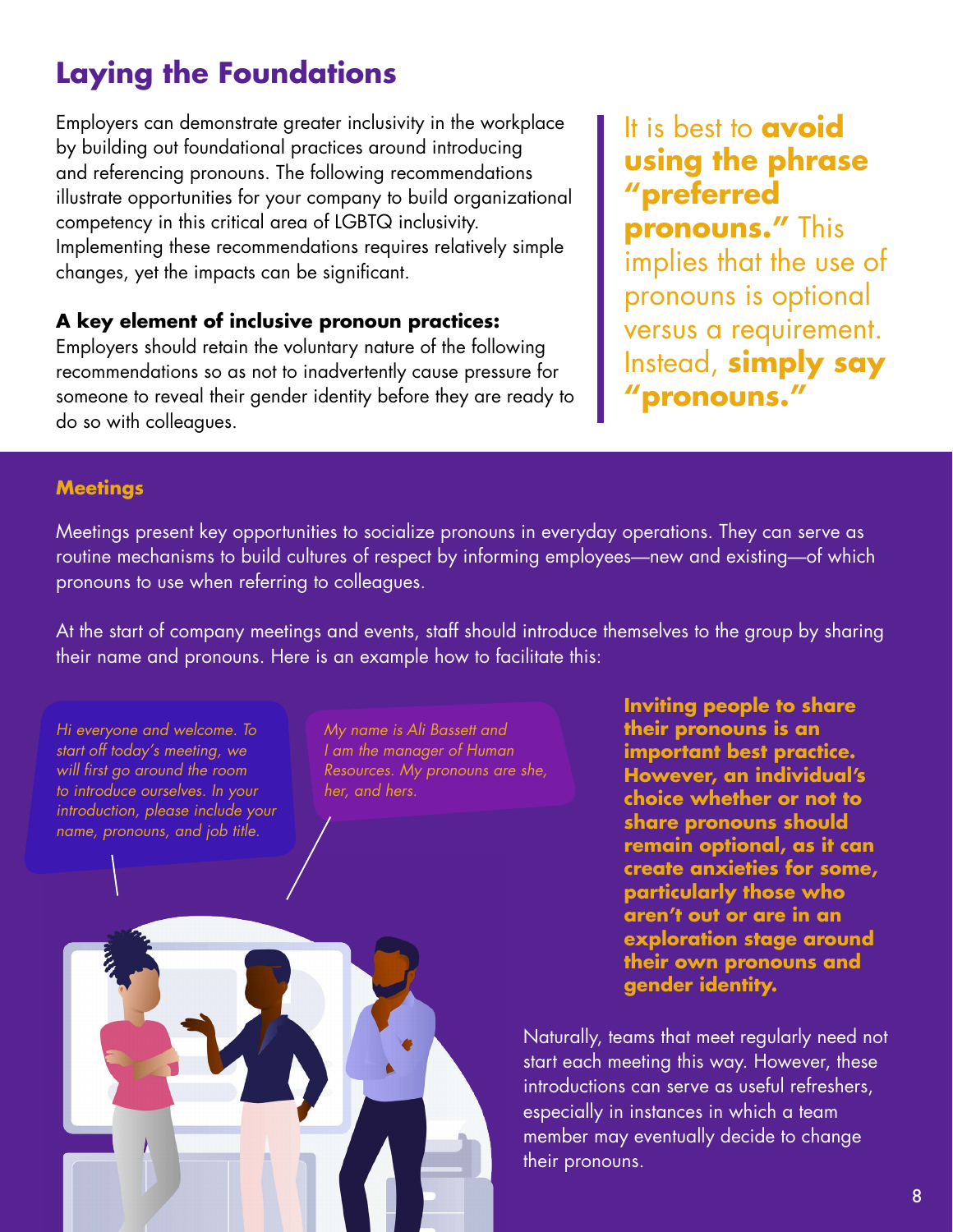# **Laying the Foundations**

Employers can demonstrate greater inclusivity in the workplace by building out foundational practices around introducing and referencing pronouns. The following recommendations illustrate opportunities for your company to build organizational competency in this critical area of LGBTQ inclusivity. Implementing these recommendations requires relatively simple changes, yet the impacts can be significant.

## **A key element of inclusive pronoun practices:**

Employers should retain the voluntary nature of the following recommendations so as not to inadvertently cause pressure for someone to reveal their gender identity before they are ready to do so with colleagues.

It is best to **avoid using the phrase "preferred pronouns."** This implies that the use of pronouns is optional versus a requirement. Instead, **simply say "pronouns."** 

### **Meetings**

Meetings present key opportunities to socialize pronouns in everyday operations. They can serve as routine mechanisms to build cultures of respect by informing employees—new and existing—of which pronouns to use when referring to colleagues.

At the start of company meetings and events, staff should introduce themselves to the group by sharing their name and pronouns. Here is an example how to facilitate this:

*Hi everyone and welcome. To start off today's meeting, we will first go around the room to introduce ourselves. In your introduction, please include your name, pronouns, and job title.*

*My name is Ali Bassett and I am the manager of Human Resources. My pronouns are she, her, and hers.*

**Inviting people to share their pronouns is an important best practice. However, an individual's choice whether or not to share pronouns should remain optional, as it can create anxieties for some, particularly those who aren't out or are in an exploration stage around their own pronouns and gender identity.**

Naturally, teams that meet regularly need not start each meeting this way. However, these introductions can serve as useful refreshers, especially in instances in which a team member may eventually decide to change their pronouns.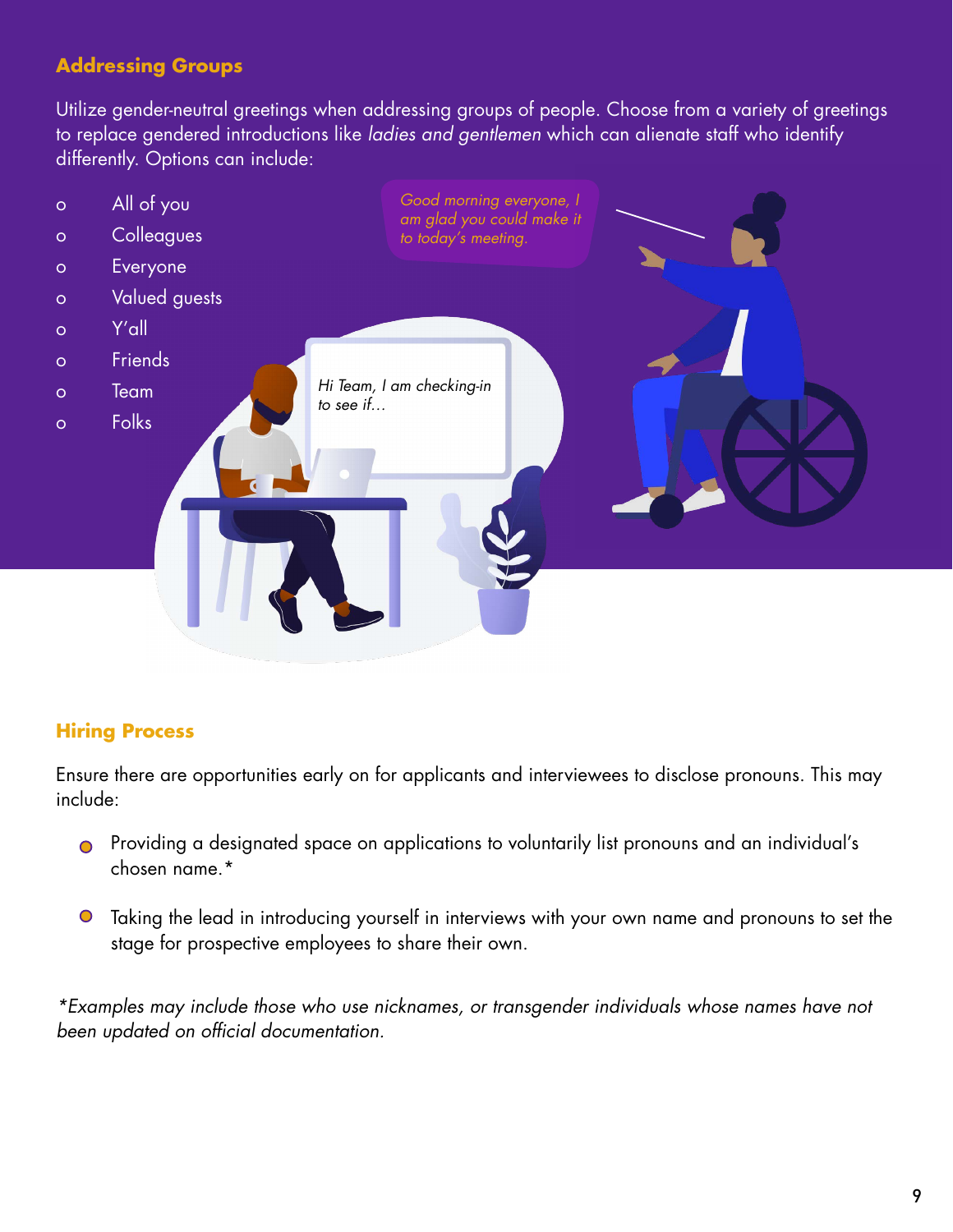# **Addressing Groups**

Utilize gender-neutral greetings when addressing groups of people. Choose from a variety of greetings to replace gendered introductions like *ladies and gentlemen* which can alienate staff who identify differently. Options can include:



# **Hiring Process**

Ensure there are opportunities early on for applicants and interviewees to disclose pronouns. This may include:

- Providing a designated space on applications to voluntarily list pronouns and an individual's chosen name.\*
- Taking the lead in introducing yourself in interviews with your own name and pronouns to set the stage for prospective employees to share their own.

*\*Examples may include those who use nicknames, or transgender individuals whose names have not been updated on official documentation.*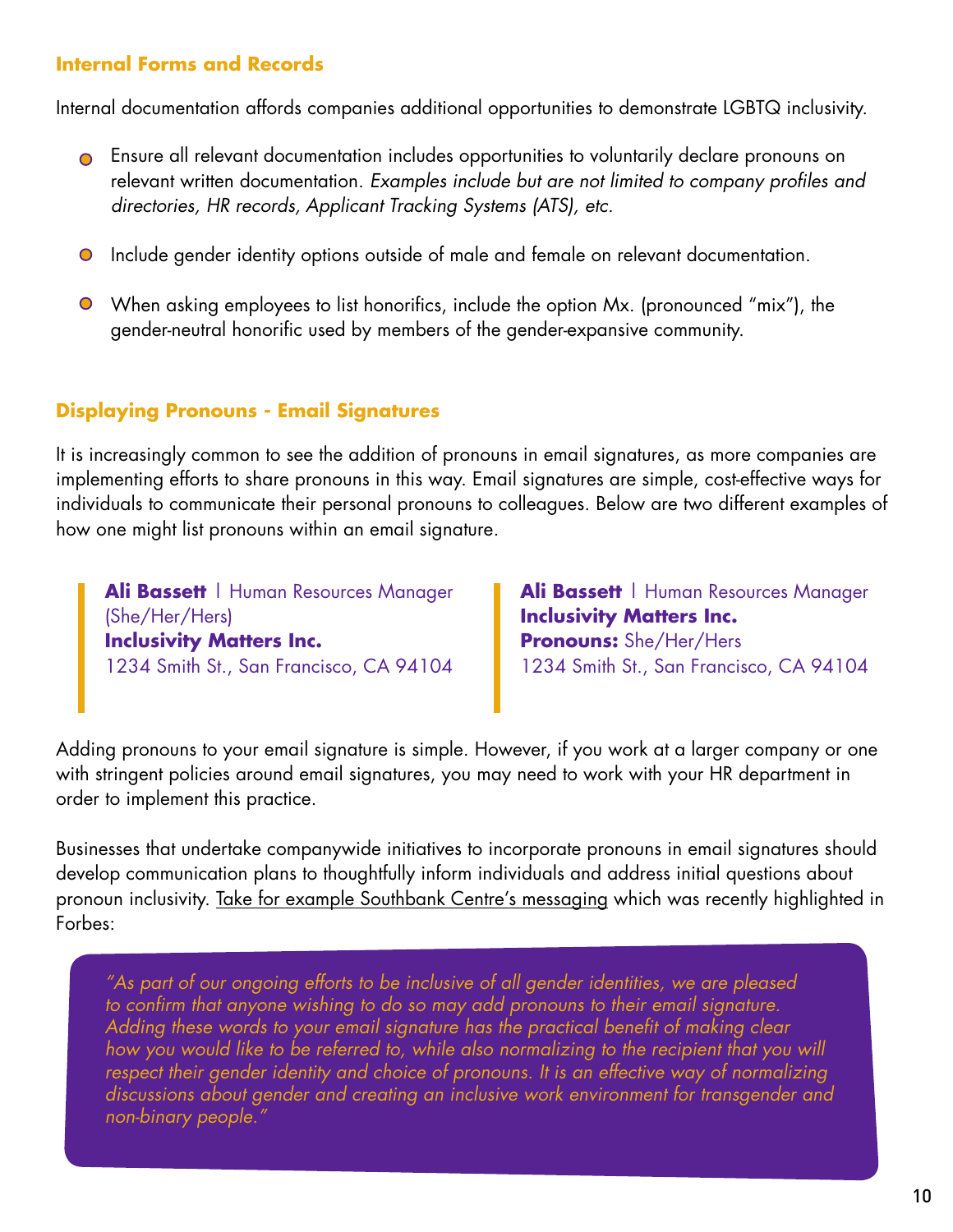### **Internal Forms and Records**

Internal documentation affords companies additional opportunities to demonstrate LGBTQ inclusivity.

- Ensure all relevant documentation includes opportunities to voluntarily declare pronouns on relevant written documentation. *Examples include but are not limited to company profiles and directories, HR records, Applicant Tracking Systems (ATS), etc.*
- Include gender identity options outside of male and female on relevant documentation.
- When asking employees to list honorifics, include the option Mx. (pronounced "mix"), the gender-neutral honorific used by members of the gender-expansive community.

### **Displaying Pronouns - Email Signatures**

It is increasingly common to see the addition of pronouns in email signatures, as more companies are implementing efforts to share pronouns in this way. Email signatures are simple, cost-effective ways for individuals to communicate their personal pronouns to colleagues. Below are two different examples of how one might list pronouns within an email signature.

**Ali Bassett** | Human Resources Manager (She/Her/Hers) **Inclusivity Matters Inc.** 1234 Smith St., San Francisco, CA 94104

**Ali Bassett | Human Resources Manager Inclusivity Matters Inc. Pronouns:** She/Her/Hers 1234 Smith St., San Francisco, CA 94104

Adding pronouns to your email signature is simple. However, if you work at a larger company or one with stringent policies around email signatures, you may need to work with your HR department in order to implement this practice.

Businesses that undertake companywide initiatives to incorporate pronouns in email signatures should develop communication plans to thoughtfully inform individuals and address initial questions about pronoun inclusivity. [Take for example Southbank Centre's messaging w](https://www.forbes.com/sites/jamiewareham/2020/12/30/should-you-put-pronouns-in-email-signatures-and-social-media-bios/%233bb36c146320)hich was recently highlighted in Forbes:

*"As part of our ongoing efforts to be inclusive of all gender identities, we are pleased to confirm that anyone wishing to do so may add pronouns to their email signature. Adding these words to your email signature has the practical benefit of making clear how you would like to be referred to, while also normalizing to the recipient that you will respect their gender identity and choice of pronouns. It is an effective way of normalizing discussions about gender and creating an inclusive work environment for transgender and non-binary people."*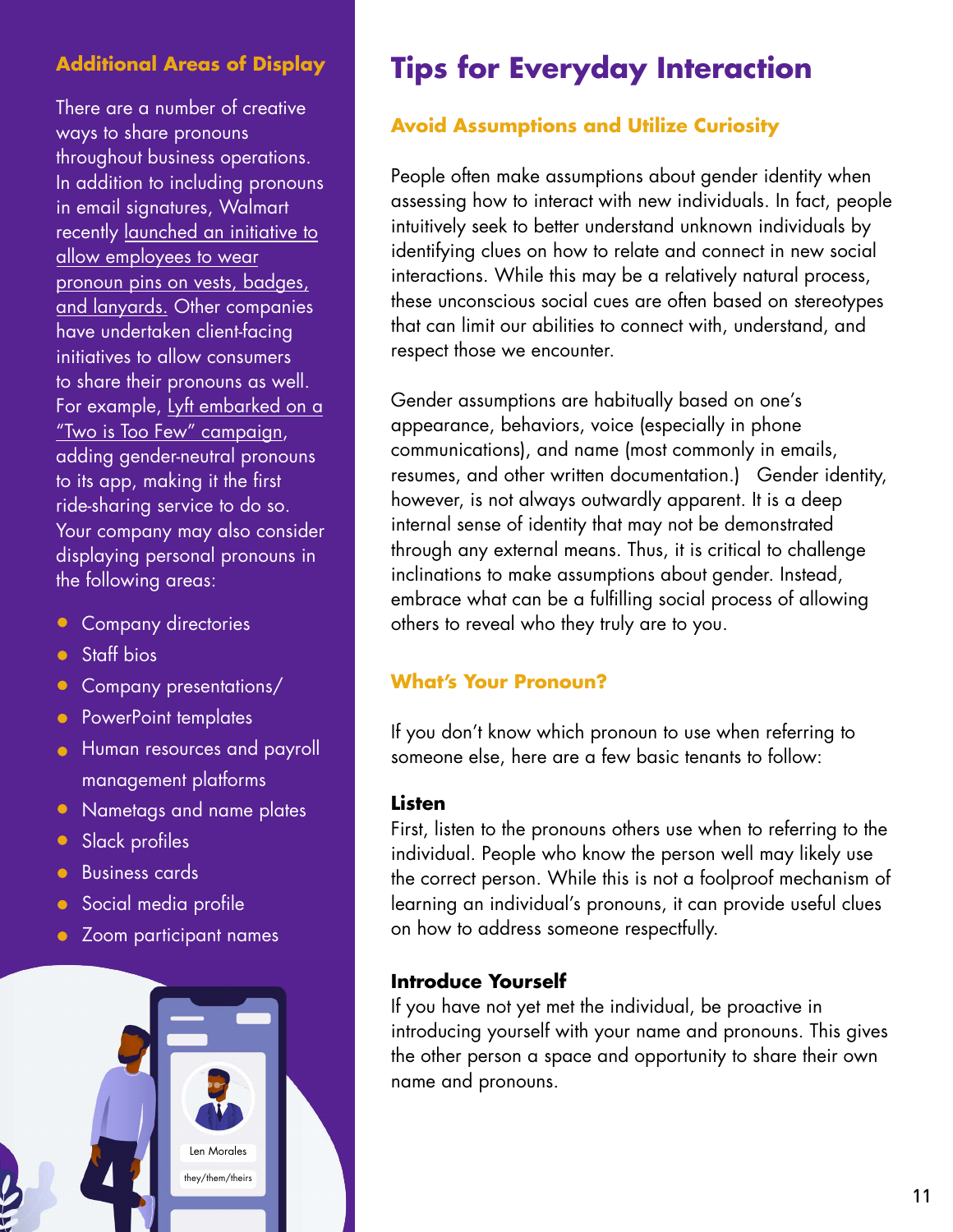There are a number of creative ways to share pronouns throughout business operations. In addition to including pronouns in email signatures, Walmart recentl[y launched an initiative to](https://www.linkedin.com/posts/marclore_as-an-ally-to-the-lgbtq-community-im-honored-activity-6626530505196126209-WdKW/)  allow employees to wear [pronoun pins on vests, badges,](https://www.linkedin.com/posts/marclore_as-an-ally-to-the-lgbtq-community-im-honored-activity-6626530505196126209-WdKW/)  [and lanyards.](https://www.linkedin.com/posts/marclore_as-an-ally-to-the-lgbtq-community-im-honored-activity-6626530505196126209-WdKW/) Other companies have undertaken client-facing initiatives to allow consumers to share their pronouns as well. For example[, Lyft embarked on a](https://mashable.com/article/lyft-pride-pronoun-inclusive-ride-hailing-app/)  ["Two is Too Few" campaign,](https://mashable.com/article/lyft-pride-pronoun-inclusive-ride-hailing-app/)  adding gender-neutral pronouns to its app, making it the first ride-sharing service to do so. Your company may also consider displaying personal pronouns in the following areas:

- Company directories
- **Staff** bios
- Company presentations/
- PowerPoint templates
- **•** Human resources and payroll management platforms
- Nametags and name plates
- **Slack profiles**
- **Business cards**
- **Social media profile**
- Zoom participant names



# **Additional Areas of Display Tips for Everyday Interaction**

# **Avoid Assumptions and Utilize Curiosity**

People often make assumptions about gender identity when assessing how to interact with new individuals. In fact, people intuitively seek to better understand unknown individuals by identifying clues on how to relate and connect in new social interactions. While this may be a relatively natural process, these unconscious social cues are often based on stereotypes that can limit our abilities to connect with, understand, and respect those we encounter.

Gender assumptions are habitually based on one's appearance, behaviors, voice (especially in phone communications), and name (most commonly in emails, resumes, and other written documentation.) Gender identity, however, is not always outwardly apparent. It is a deep internal sense of identity that may not be demonstrated through any external means. Thus, it is critical to challenge inclinations to make assumptions about gender. Instead, embrace what can be a fulfilling social process of allowing others to reveal who they truly are to you.

# **What's Your Pronoun?**

If you don't know which pronoun to use when referring to someone else, here are a few basic tenants to follow:

### **Listen**

First, listen to the pronouns others use when to referring to the individual. People who know the person well may likely use the correct person. While this is not a foolproof mechanism of learning an individual's pronouns, it can provide useful clues on how to address someone respectfully.

### **Introduce Yourself**

If you have not yet met the individual, be proactive in introducing yourself with your name and pronouns. This gives the other person a space and opportunity to share their own name and pronouns.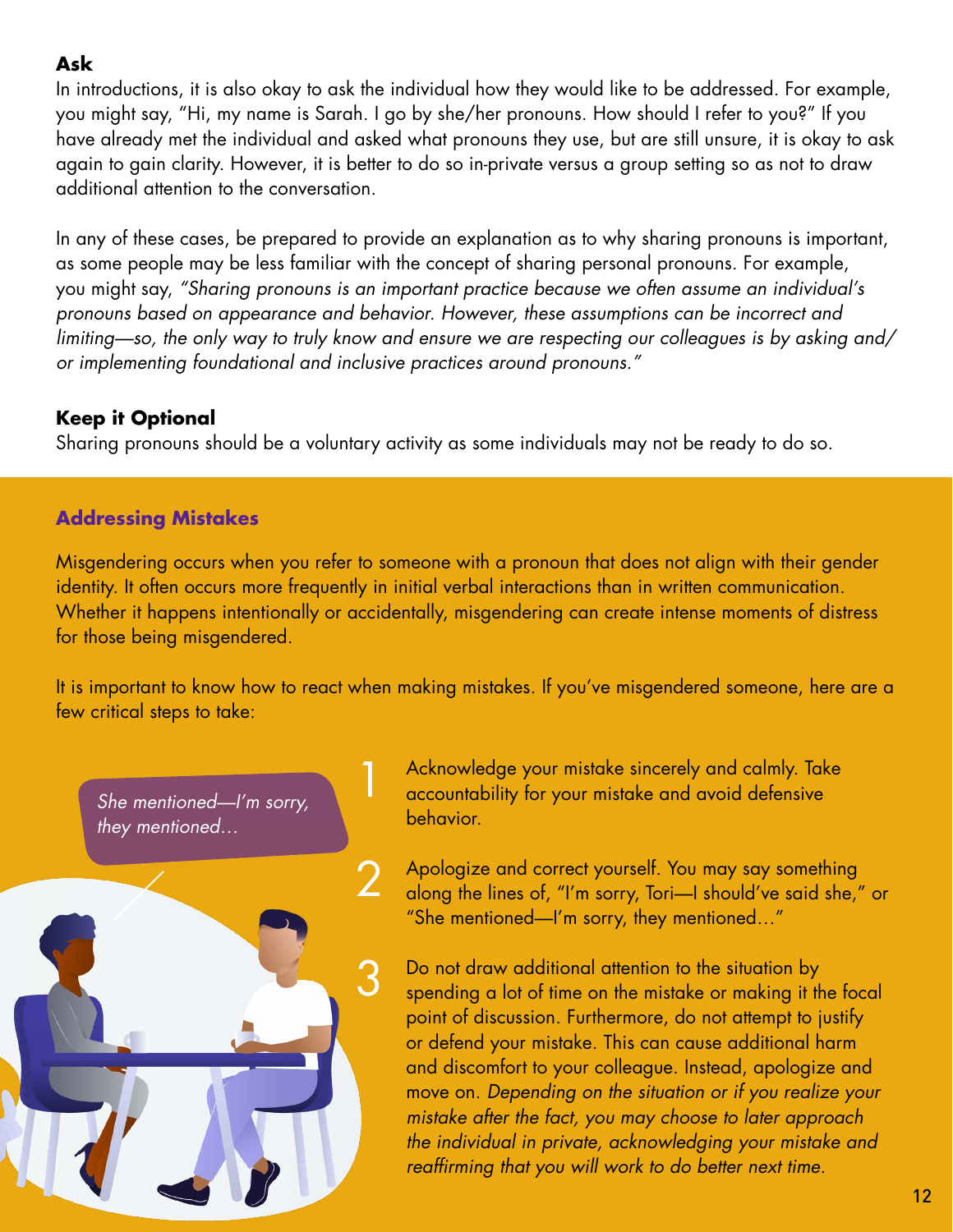## **Ask**

In introductions, it is also okay to ask the individual how they would like to be addressed. For example, you might say, "Hi, my name is Sarah. I go by she/her pronouns. How should I refer to you?" If you have already met the individual and asked what pronouns they use, but are still unsure, it is okay to ask again to gain clarity. However, it is better to do so in-private versus a group setting so as not to draw additional attention to the conversation.

In any of these cases, be prepared to provide an explanation as to why sharing pronouns is important, as some people may be less familiar with the concept of sharing personal pronouns. For example, you might say, *"Sharing pronouns is an important practice because we often assume an individual's pronouns based on appearance and behavior. However, these assumptions can be incorrect and limiting—so, the only way to truly know and ensure we are respecting our colleagues is by asking and/ or implementing foundational and inclusive practices around pronouns."* 

# **Keep it Optional**

Sharing pronouns should be a voluntary activity as some individuals may not be ready to do so.

# **Addressing Mistakes**

Misgendering occurs when you refer to someone with a pronoun that does not align with their gender identity. It often occurs more frequently in initial verbal interactions than in written communication. Whether it happens intentionally or accidentally, misgendering can create intense moments of distress for those being misgendered.

It is important to know how to react when making mistakes. If you've misgendered someone, here are a few critical steps to take:



Acknowledge your mistake sincerely and calmly. Take accountability for your mistake and avoid defensive behavior.

Apologize and correct yourself. You may say something along the lines of, "I'm sorry, Tori—I should've said she," or "She mentioned—I'm sorry, they mentioned…"

Do not draw additional attention to the situation by spending a lot of time on the mistake or making it the focal point of discussion. Furthermore, do not attempt to justify or defend your mistake. This can cause additional harm and discomfort to your colleague. Instead, apologize and move on. *Depending on the situation or if you realize your mistake after the fact, you may choose to later approach the individual in private, acknowledging your mistake and reaffirming that you will work to do better next time.*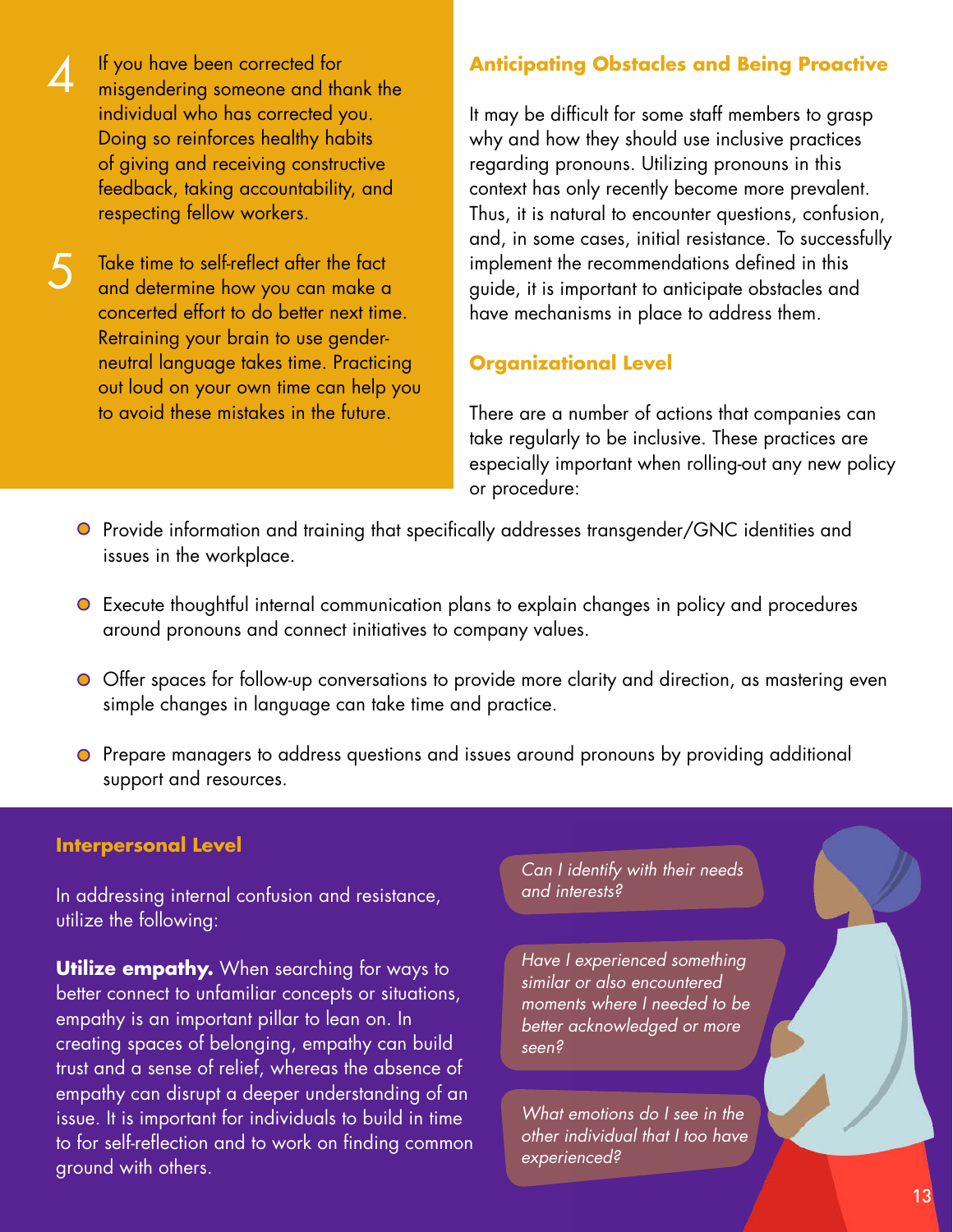If you have been corrected for misgendering someone and thank the individual who has corrected you. Doing so reinforces healthy habits of giving and receiving constructive feedback, taking accountability, and respecting fellow workers.

4

Take time to self-reflect after the fact and determine how you can make a concerted effort to do better next time. Retraining your brain to use genderneutral language takes time. Practicing out loud on your own time can help you to avoid these mistakes in the future. 5

### **Anticipating Obstacles and Being Proactive**

It may be difficult for some staff members to grasp why and how they should use inclusive practices regarding pronouns. Utilizing pronouns in this context has only recently become more prevalent. Thus, it is natural to encounter questions, confusion, and, in some cases, initial resistance. To successfully implement the recommendations defined in this guide, it is important to anticipate obstacles and have mechanisms in place to address them.

### **Organizational Level**

There are a number of actions that companies can take regularly to be inclusive. These practices are especially important when rolling-out any new policy or procedure:

- Provide information and training that specifically addresses transgender/GNC identities and issues in the workplace.
- Execute thoughtful internal communication plans to explain changes in policy and procedures around pronouns and connect initiatives to company values.
- Offer spaces for follow-up conversations to provide more clarity and direction, as mastering even simple changes in language can take time and practice.
- Prepare managers to address questions and issues around pronouns by providing additional support and resources.

### **Interpersonal Level**

In addressing internal confusion and resistance, utilize the following:

**Utilize empathy.** When searching for ways to better connect to unfamiliar concepts or situations, empathy is an important pillar to lean on. In creating spaces of belonging, empathy can build trust and a sense of relief, whereas the absence of empathy can disrupt a deeper understanding of an issue. It is important for individuals to build in time to for self-reflection and to work on finding common ground with others.

*Can I identify with their needs and interests?* 

*Have I experienced something similar or also encountered moments where I needed to be better acknowledged or more seen?*

*What emotions do I see in the other individual that I too have experienced?*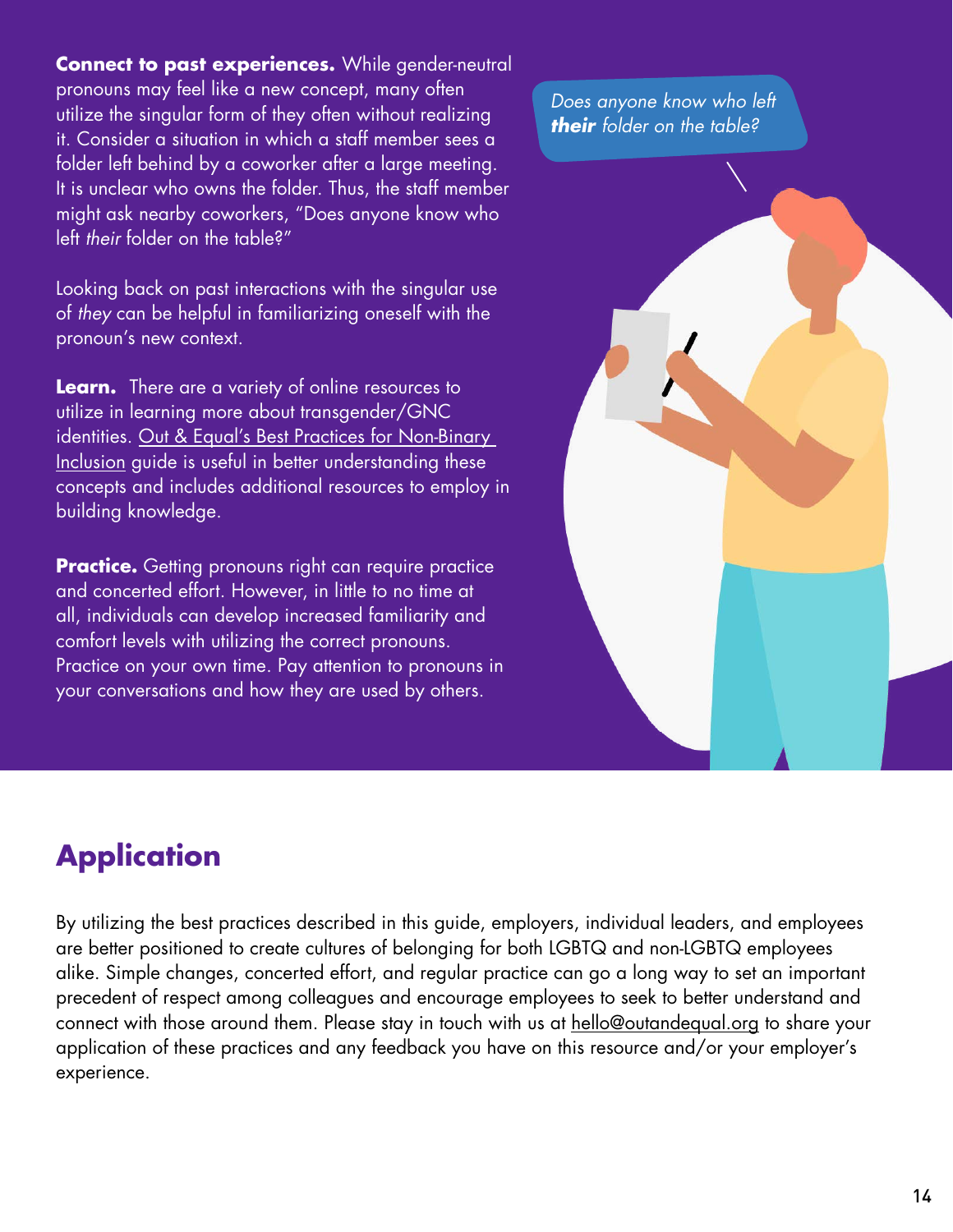**Connect to past experiences.** While gender-neutral pronouns may feel like a new concept, many often utilize the singular form of they often without realizing it. Consider a situation in which a staff member sees a folder left behind by a coworker after a large meeting. It is unclear who owns the folder. Thus, the staff member might ask nearby coworkers, "Does anyone know who left *their* folder on the table?"

Looking back on past interactions with the singular use of *they* can be helpful in familiarizing oneself with the pronoun's new context.

**Learn.** There are a variety of online resources to utilize in learning more about transgender/GNC identities. [Out & Equal's Best Practices for Non-Binary](https://outandequal.org/app/uploads/2018/11/OE-Non-Binary-Best-Practices.pdf)  [Inclusion g](https://outandequal.org/app/uploads/2018/11/OE-Non-Binary-Best-Practices.pdf)uide is useful in better understanding these concepts and includes additional resources to employ in building knowledge.

**Practice.** Getting pronouns right can require practice and concerted effort. However, in little to no time at all, individuals can develop increased familiarity and comfort levels with utilizing the correct pronouns. Practice on your own time. Pay attention to pronouns in your conversations and how they are used by others.

*Does anyone know who left their folder on the table?*



# **Application**

By utilizing the best practices described in this guide, employers, individual leaders, and employees are better positioned to create cultures of belonging for both LGBTQ and non-LGBTQ employees alike. Simple changes, concerted effort, and regular practice can go a long way to set an important precedent of respect among colleagues and encourage employees to seek to better understand and connect with those around them. Please stay in touch with us at hello@outandequal.org to share your application of these practices and any feedback you have on this resource and/or your employer's experience.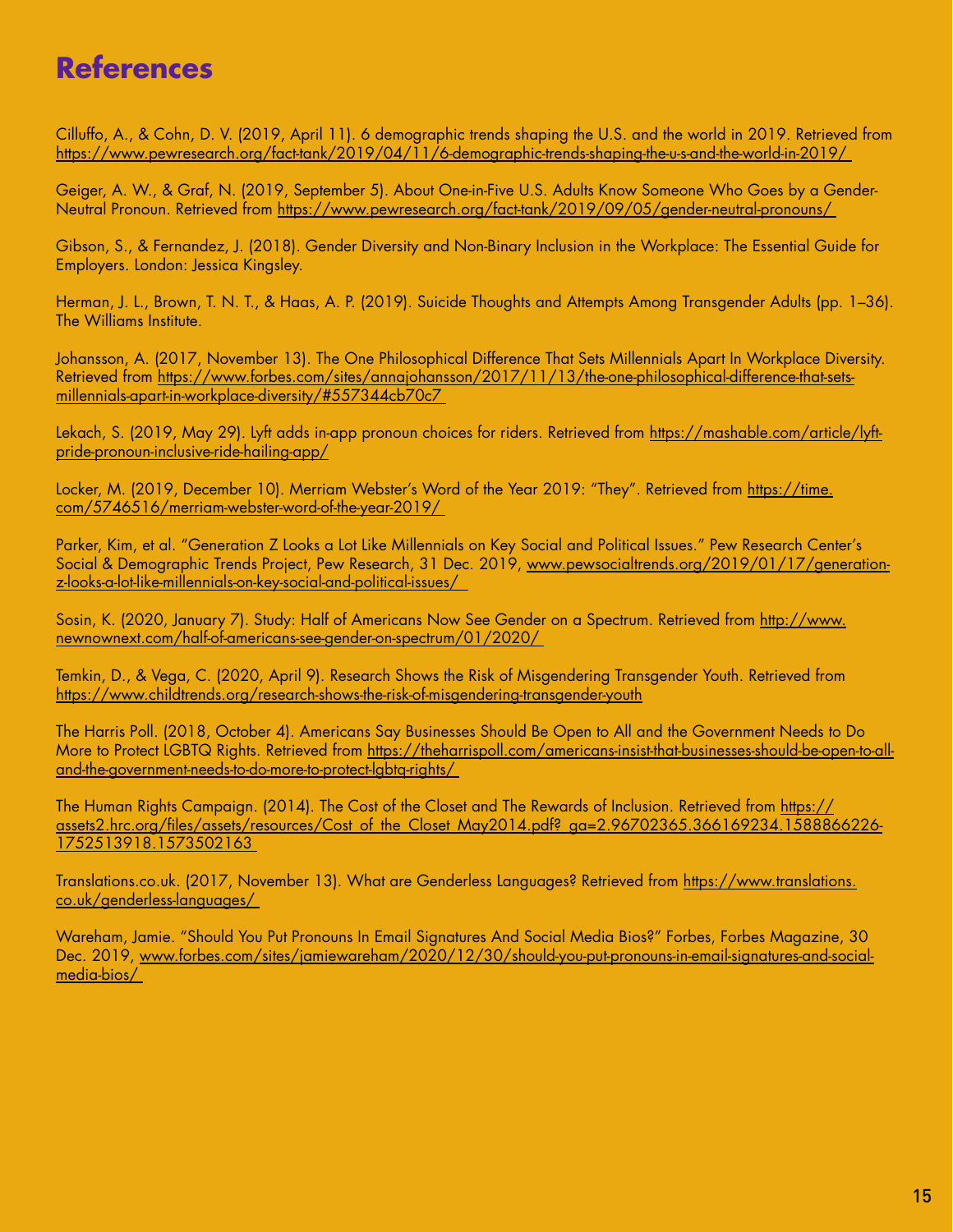# **References**

Cilluffo, A., & Cohn, D. V. (2019, April 11). 6 demographic trends shaping the U.S. and the world in 2019. Retrieved from https://www.pewresearch.org/fact-tank/2019/04/11/6-demographic-trends-shaping-the-u-s-and-the-world-in-2019/

Geiger, A. W., & Graf, N. (2019, September 5). About One-in-Five U.S. Adults Know Someone Who Goes by a Gender-Neutral Pronoun. Retrieved from https://www.pewresearch.org/fact-tank/2019/09/05/gender-neutral-pronouns/

Gibson, S., & Fernandez, J. (2018). Gender Diversity and Non-Binary Inclusion in the Workplace: The Essential Guide for Employers. London: Jessica Kingsley.

Herman, J. L., Brown, T. N. T., & Haas, A. P. (2019). Suicide Thoughts and Attempts Among Transgender Adults (pp. 1–36). The Williams Institute.

Johansson, A. (2017, November 13). The One Philosophical Difference That Sets Millennials Apart In Workplace Diversity. Retrieved from https://www.forbes.com/sites/annajohansson/2017/11/13/the-one-philosophical-difference-that-setsmillennials-apart-in-workplace-diversity/#557344cb70c7

Lekach, S. (2019, May 29). Lyft adds in-app pronoun choices for riders. Retrieved from https://mashable.com/article/lyftpride-pronoun-inclusive-ride-hailing-app/

Locker, M. (2019, December 10). Merriam Webster's Word of the Year 2019: "They". Retrieved from https://time. com/5746516/merriam-webster-word-of-the-year-2019/

Parker, Kim, et al. "Generation Z Looks a Lot Like Millennials on Key Social and Political Issues." Pew Research Center's Social & Demographic Trends Project, Pew Research, 31 Dec. 2019, www.pewsocialtrends.org/2019/01/17/generationz-looks-a-lot-like-millennials-on-key-social-and-political-issues/

Sosin, K. (2020, January 7). Study: Half of Americans Now See Gender on a Spectrum. Retrieved from http://www. newnownext.com/half-of-americans-see-gender-on-spectrum/01/2020/

Temkin, D., & Vega, C. (2020, April 9). Research Shows the Risk of Misgendering Transgender Youth. Retrieved from https://www.childtrends.org/research-shows-the-risk-of-misgendering-transgender-youth

The Harris Poll. (2018, October 4). Americans Say Businesses Should Be Open to All and the Government Needs to Do More to Protect LGBTQ Rights. Retrieved from https://theharrispoll.com/americans-insist-that-businesses-should-be-open-to-alland-the-government-needs-to-do-more-to-protect-lgbtq-rights/

The Human Rights Campaign. (2014). The Cost of the Closet and The Rewards of Inclusion. Retrieved from https:// assets2.hrc.org/files/assets/resources/Cost\_of\_the\_Closet\_May2014.pdf?\_ga=2.96702365.366169234.1588866226-1752513918.1573502163

Translations.co.uk. (2017, November 13). What are Genderless Languages? Retrieved from https://www.translations. co.uk/genderless-languages/

Wareham, Jamie. "Should You Put Pronouns In Email Signatures And Social Media Bios?" Forbes, Forbes Magazine, 30 Dec. 2019, www.forbes.com/sites/jamiewareham/2020/12/30/should-you-put-pronouns-in-email-signatures-and-socialmedia-bios/